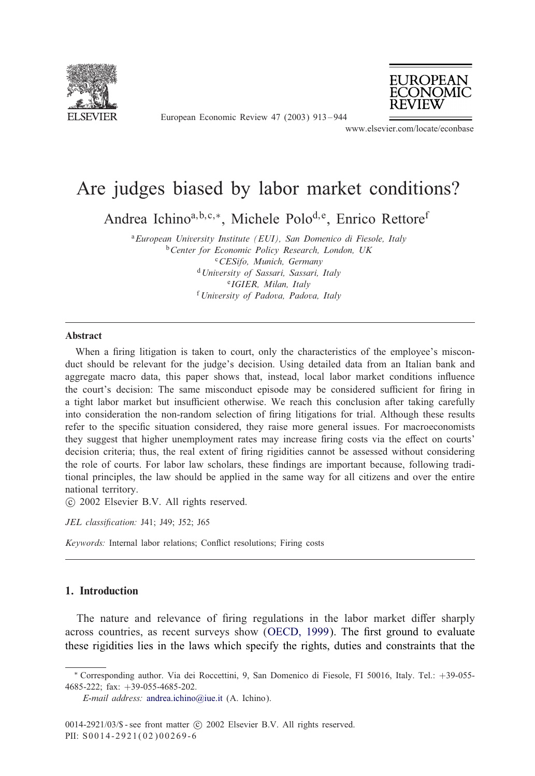

European Economic Review 47 (2003) 913 – 944



www.elsevier.com/locate/econbase

## Are judges biased by labor market conditions?

Andrea Ichino<sup>a, b, c,∗</sup>, Michele Polo<sup>d, e</sup>, Enrico Rettore<sup>f</sup>

<sup>a</sup>*European University Institute (EUI), San Domenico di Fiesole, Italy* <sup>b</sup>*Center for Economic Policy Research, London, UK* <sup>c</sup>*CESifo, Munich, Germany* <sup>d</sup>*University of Sassari, Sassari, Italy* <sup>e</sup>*IGIER, Milan, Italy* <sup>f</sup> *University of Padova, Padova, Italy*

#### Abstract

When a firing litigation is taken to court, only the characteristics of the employee's misconduct should be relevant for the judge's decision. Using detailed data from an Italian bank and aggregate macro data, this paper shows that, instead, local labor market conditions influence the court's decision: The same misconduct episode may be considered sufficient for firing in a tight labor market but insufficient otherwise. We reach this conclusion after taking carefully into consideration the non-random selection of firing litigations for trial. Although these results refer to the specific situation considered, they raise more general issues. For macroeconomists they suggest that higher unemployment rates may increase firing costs via the effect on courts' decision criteria; thus, the real extent of firing rigidities cannot be assessed without considering the role of courts. For labor law scholars, these findings are important because, following traditional principles, the law should be applied in the same way for all citizens and over the entire national territory.

-c 2002 Elsevier B.V. All rights reserved.

*JEL classification:* J41: J49: J52: J65

*Keywords:* Internal labor relations; Conflict resolutions; Firing costs

### 1. Introduction

The nature and relevance of firing regulations in the labor market differ sharply across countries, [as](mailto:andrea.ichino@iue.it) [recent](mailto:andrea.ichino@iue.it) [survey](mailto:andrea.ichino@iue.it)s show (OECD, 1999). The first ground to evaluate these rigidities lies in the laws which specify the rights, duties and constraints that the

<sup>∗</sup> Corresponding author. Via dei Roccettini, 9, San Domenico di Fiesole, FI 50016, Italy. Tel.: +39-055- 4685-222; fax: +39-055-4685-202.

*E-mail address:* andrea.ichino@iue.it (A. Ichino).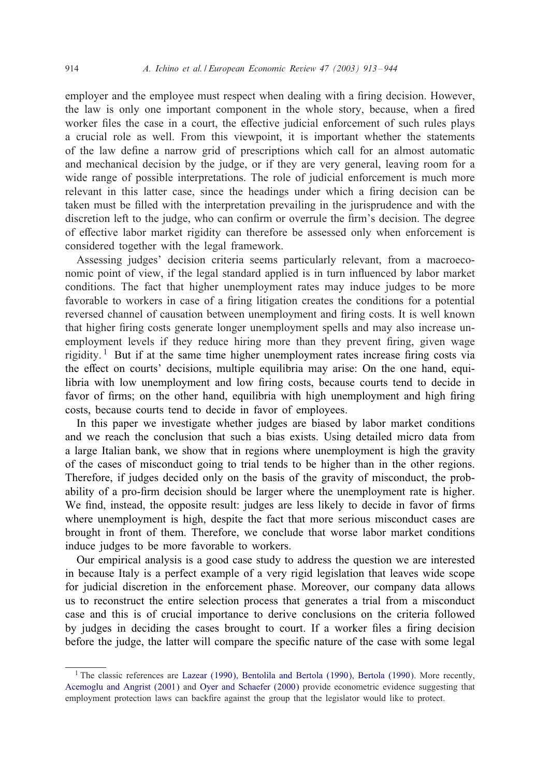#### 914 *A. Ichino et al. / European Economic Review 47 (2003) 913 – 944*

employer and the employee must respect when dealing with a firing decision. However, the law is only one important component in the whole story, because, when a fired worker files the case in a court, the effective judicial enforcement of such rules plays a crucial role as well. From this viewpoint, it is important whether the statements of the law define a narrow grid of prescriptions which call for an almost automatic and mechanical decision by the judge, or if they are very general, leaving room for a wide range of possible interpretations. The role of judicial enforcement is much more relevant in this latter case, since the headings under which a firing decision can be taken must be filled with the interpretation prevailing in the jurisprudence and with the discretion left to the judge, who can confirm or overrule the firm's decision. The degree of effective labor market rigidity can therefore be assessed only when enforcement is considered together with the legal framework.

Assessing judges' decision criteria seems particularly relevant, from a macroeconomic point of view, if the legal standard applied is in turn influenced by labor market conditions. The fact that higher unemployment rates may induce judges to be more favorable to workers in case of a firing litigation creates the conditions for a potential reversed channel of causation between unemployment and firing costs. It is well known that higher firing costs generate longer unemployment spells and may also increase unemployment levels if they reduce hiring more than they prevent firing, given wage rigidity.<sup>1</sup> But if at the same time higher unemployment rates increase firing costs via the effect on courts' decisions, multiple equilibria may arise: On the one hand, equilibria with low unemployment and low firing costs, because courts tend to decide in favor of firms; on the other hand, equilibria with high unemployment and high firing costs, because courts tend to decide in favor of employees.

In this paper we investigate whether judges are biased by labor market conditions and we reach the conclusion that such a bias exists. Using detailed micro data from a large Italian bank, we show that in regions where unemployment is high the gravity of the cases of misconduct going to trial tends to be higher than in the other regions. Therefore, if judges decided only on the basis of the gravity of misconduct, the probability of a pro-firm decision should be larger where the unemployment rate is higher. We find, instead, the opposite result: judges are less likely to decide in favor of firms where unemployment is high, despite the fact that more serious misconduct cases are brought in front of them. Therefore, we conclude that worse labor market conditions induce judges to be more favorable to workers.

Our empirical analysis is a good case study to address the question we are interested in because Italy is a perfect example of a very rigid legislation that leaves wide scope for judicial discretion in the enforcement phase. Moreover, our company data allows us to reconstruct the en[tire selection process that generates a trial from a](#page--1-0) misconduct [case and this is of cruc](#page--1-0)ial [importance to derive](#page--1-0) conclusions on the criteria followed by judges in deciding the cases brought to court. If a worker files a firing decision before the judge, the latter will compare the specific nature of the case with some legal

<sup>&</sup>lt;sup>1</sup> The classic references are Lazear (1990), Bentolila and Bertola (1990), Bertola (1990). More recently, Acemoglu and Angrist (2001) and Oyer and Schaefer (2000) provide econometric evidence suggesting that employment protection laws can backfire against the group that the legislator would like to protect.